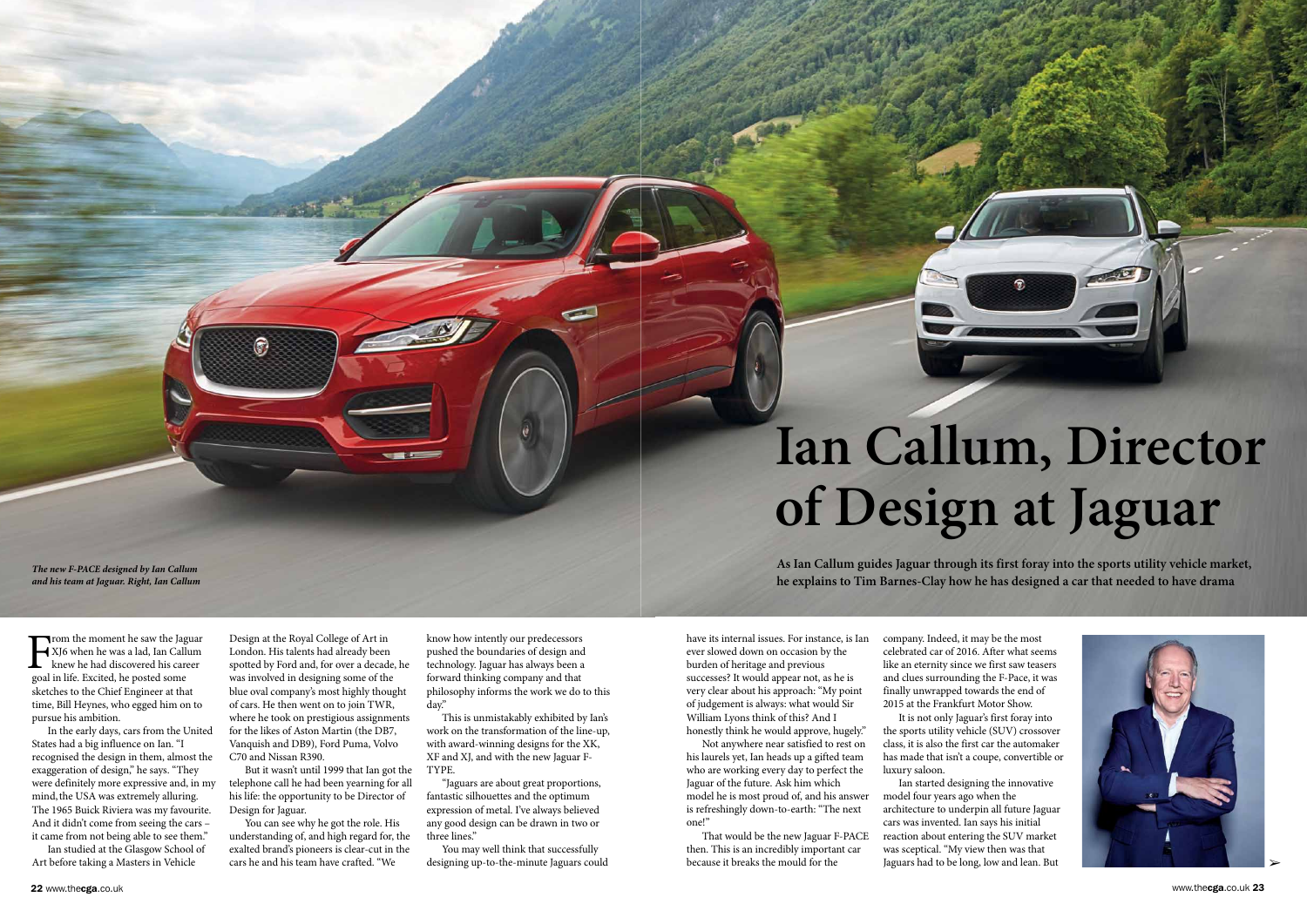In the early days, cars from the United States had a big influence on Ian. "I recognised the design in them, almost the exaggeration of design," he says. "They were definitely more expressive and, in my mind, the USA was extremely alluring. The 1965 Buick Riviera was my favourite. And it didn't come from seeing the cars – it came from not being able to see them."

Ian studied at the Glasgow School of Art before taking a Masters in Vehicle

Design at the Royal College of Art in London. His talents had already been spotted by Ford and, for over a decade, he was involved in designing some of the blue oval company's most highly thought of cars. He then went on to join TWR, where he took on prestigious assignments for the likes of Aston Martin (the DB7, Vanquish and DB9), Ford Puma, Volvo C70 and Nissan R390.

6

But it wasn't until 1999 that Ian got the telephone call he had been yearning for all his life: the opportunity to be Director of Design for Jaguar.

You can see why he got the role. His understanding of, and high regard for, the exalted brand's pioneers is clear-cut in the cars he and his team have crafted. "We

know how intently our predecessors pushed the boundaries of design and technology. Jaguar has always been a forward thinking company and that philosophy informs the work we do to this day."

This is unmistakably exhibited by Ian's work on the transformation of the line-up, with award-winning designs for the XK, XF and XJ, and with the new Jaguar F-TYPE.

"Jaguars are about great proportions, fantastic silhouettes and the optimum expression of metal. I've always believed any good design can be drawn in two or three lines."

You may well think that successfully designing up-to-the-minute Jaguars could

*The new F-PACE designed by Ian Callum and his team at Jaguar. Right, Ian Callum*

Trom the moment he saw the Jaguar XJ6 when he was a lad, Ian Callum knew he had discovered his career goal in life. Excited, he posted some sketches to the Chief Engineer at that time, Bill Heynes, who egged him on to pursue his ambition.  $\prod_{\text{goal}}$ 

www.thecga.co.uk 23

have its internal issues. For instance, is Ian ever slowed down on occasion by the burden of heritage and previous successes? It would appear not, as he is very clear about his approach: "My point of judgement is always: what would Sir William Lyons think of this? And I honestly think he would approve, hugely."

Not anywhere near satisfied to rest on his laurels yet, Ian heads up a gifted team who are working every day to perfect the Jaguar of the future. Ask him which model he is most proud of, and his answer is refreshingly down-to-earth: "The next one!"

That would be the new Jaguar F-PACE then. This is an incredibly important car because it breaks the mould for the

company. Indeed, it may be the most celebrated car of 2016. After what seems like an eternity since we first saw teasers and clues surrounding the F-Pace, it was finally unwrapped towards the end of 2015 at the Frankfurt Motor Show. It is not only Jaguar's first foray into the sports utility vehicle (SUV) crossover class, it is also the first car the automaker has made that isn't a coupe, convertible or

luxury saloon.

Ian started designing the innovative model four years ago when the architecture to underpin all future Jaguar cars was invented. Ian says his initial reaction about entering the SUV market was sceptical. "My view then was that Jaguars had to be long, low and lean. But

## **Ian Callum, Director of Design at Jaguar**

**As Ian Callum guides Jaguar through its first foray into the sports utility vehicle market, he explains to Tim Barnes-Clay how he has designed a car that needed to have drama**

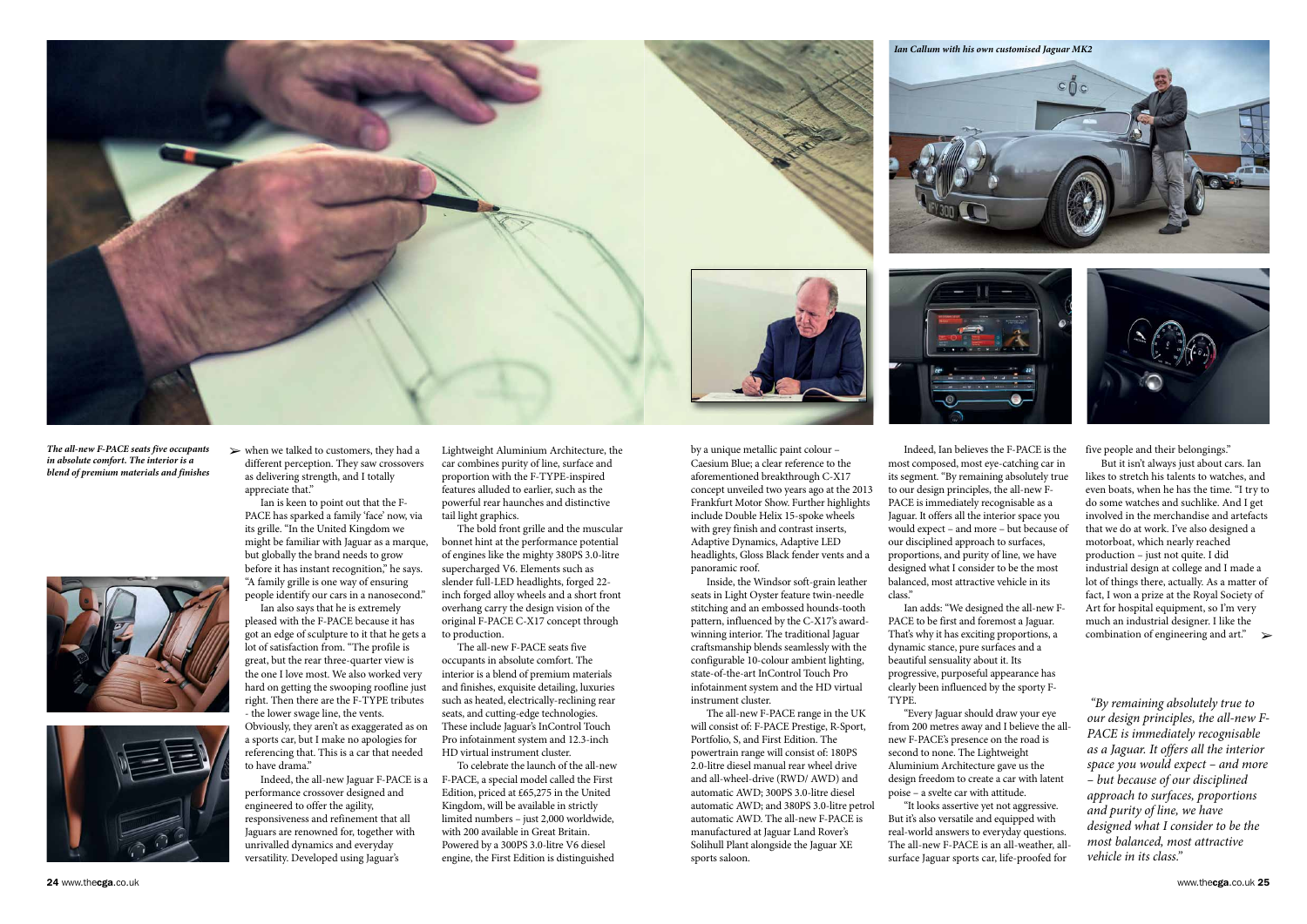$\triangleright$  when we talked to customers, they had a different perception. They saw crossovers as delivering strength, and I totally appreciate that."

Ian is keen to point out that the F-PACE has sparked a family 'face' now, via its grille. "In the United Kingdom we might be familiar with Jaguar as a marque, but globally the brand needs to grow before it has instant recognition," he says. "A family grille is one way of ensuring people identify our cars in a nanosecond."

Ian also says that he is extremely pleased with the F-PACE because it has got an edge of sculpture to it that he gets a

lot of satisfaction from. "The profile is great, but the rear three-quarter view is the one I love most. We also worked very hard on getting the swooping roofline just right. Then there are the F-TYPE tributes - the lower swage line, the vents. Obviously, they aren't as exaggerated as on

a sports car, but I make no apologies for referencing that. This is a car that needed to have drama."

Indeed, the all-new Jaguar F-PACE is a performance crossover designed and engineered to offer the agility, responsiveness and refinement that all Jaguars are renowned for, together with unrivalled dynamics and everyday versatility. Developed using Jaguar's

Lightweight Aluminium Architecture, the car combines purity of line, surface and proportion with the F-TYPE-inspired features alluded to earlier, such as the powerful rear haunches and distinctive tail light graphics.

The bold front grille and the muscular bonnet hint at the performance potential of engines like the mighty 380PS 3.0-litre supercharged V6. Elements such as slender full-LED headlights, forged 22 inch forged alloy wheels and a short front overhang carry the design vision of the original F-PACE C-X17 concept through to production.

The all-new F-PACE seats five occupants in absolute comfort. The interior is a blend of premium materials and finishes, exquisite detailing, luxuries such as heated, electrically-reclining rear seats, and cutting-edge technologies. These include Jaguar's InControl Touch Pro infotainment system and 12.3-inch HD virtual instrument cluster.

To celebrate the launch of the all-new F-PACE, a special model called the First Edition, priced at £65,275 in the United Kingdom, will be available in strictly limited numbers – just 2,000 worldwide, with 200 available in Great Britain. Powered by a 300PS 3.0-litre V6 diesel engine, the First Edition is distinguished



*The all-new F-PACE seats five occupants* ' *in absolute comfort. The interior is a blend of premium materials and finishes* 





by a unique metallic paint colour – Caesium Blue; a clear reference to the aforementioned breakthrough C-X17 concept unveiled two years ago at the 2013 Frankfurt Motor Show. Further highlights include Double Helix 15-spoke wheels with grey finish and contrast inserts, Adaptive Dynamics, Adaptive LED headlights, Gloss Black fender vents and a panoramic roof.

Inside, the Windsor soft-grain leather seats in Light Oyster feature twin-needle stitching and an embossed hounds-tooth pattern, influenced by the C-X17's awardwinning interior. The traditional Jaguar craftsmanship blends seamlessly with the configurable 10-colour ambient lighting, state-of-the-art InControl Touch Pro infotainment system and the HD virtual instrument cluster.

The all-new F-PACE range in the UK will consist of: F-PACE Prestige, R-Sport, Portfolio, S, and First Edition. The powertrain range will consist of: 180PS 2.0-litre diesel manual rear wheel drive and all-wheel-drive (RWD/ AWD) and automatic AWD; 300PS 3.0-litre diesel automatic AWD; and 380PS 3.0-litre petrol automatic AWD. The all-new F-PACE is manufactured at Jaguar Land Rover's Solihull Plant alongside the Jaguar XE sports saloon.

Indeed, Ian believes the F-PACE is the most composed, most eye-catching car in its segment. "By remaining absolutely true to our design principles, the all-new F-PACE is immediately recognisable as a Jaguar. It offers all the interior space you would expect – and more – but because of our disciplined approach to surfaces, proportions, and purity of line, we have designed what I consider to be the most balanced, most attractive vehicle in its class."

' combination of engineering and art." But it isn't always just about cars. Ian likes to stretch his talents to watches, and even boats, when he has the time. "I try to do some watches and suchlike. And I get involved in the merchandise and artefacts that we do at work. I've also designed a motorboat, which nearly reached production – just not quite. I did industrial design at college and I made a lot of things there, actually. As a matter of fact, I won a prize at the Royal Society of Art for hospital equipment, so I'm very much an industrial designer. I like the

Ian adds: "We designed the all-new F-PACE to be first and foremost a Jaguar. That's why it has exciting proportions, a dynamic stance, pure surfaces and a beautiful sensuality about it. Its progressive, purposeful appearance has clearly been influenced by the sporty F-TYPE.

"Every Jaguar should draw your eye from 200 metres away and I believe the allnew F-PACE's presence on the road is second to none. The Lightweight Aluminium Architecture gave us the design freedom to create a car with latent poise – a svelte car with attitude. "It looks assertive yet not aggressive.

But it's also versatile and equipped with real-world answers to everyday questions. The all-new F-PACE is an all-weather, allsurface Jaguar sports car, life-proofed for

five people and their belongings."

"By remaining absolutely true to our design principles, the all-new F-PACE is immediately recognisable as a Jaguar. It offers all the interior space you would expect – and more – but because of our disciplined approach to surfaces, proportions and purity of line, we have designed what I consider to be the most balanced, most attractive vehicle in its class."